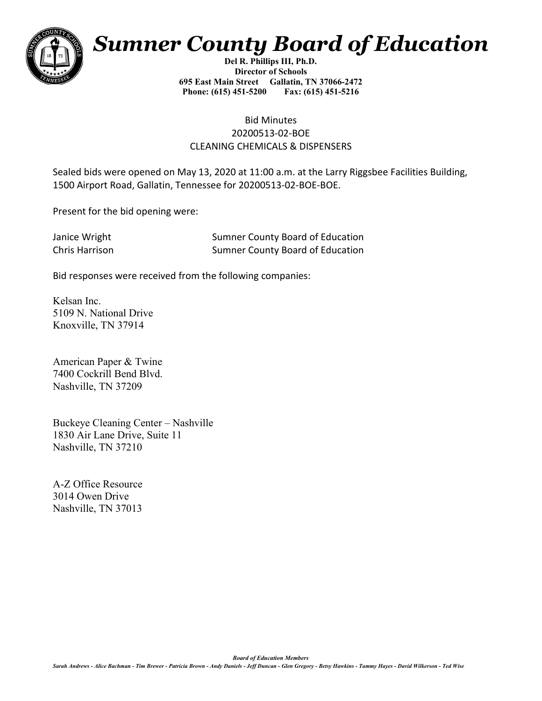

# *Sumner County Board of Education*

**Del R. Phillips III, Ph.D. Director of Schools 695 East Main Street Gallatin, TN 37066-2472 Phone: (615) 451-5200 Fax: (615) 451-5216** 

#### Bid Minutes 20200513-02-BOE CLEANING CHEMICALS & DISPENSERS

Sealed bids were opened on May 13, 2020 at 11:00 a.m. at the Larry Riggsbee Facilities Building, 1500 Airport Road, Gallatin, Tennessee for 20200513-02-BOE-BOE.

Present for the bid opening were:

| Janice Wright  | <b>Sumner County Board of Education</b> |
|----------------|-----------------------------------------|
| Chris Harrison | <b>Sumner County Board of Education</b> |

Bid responses were received from the following companies:

Kelsan Inc. 5109 N. National Drive Knoxville, TN 37914

American Paper & Twine 7400 Cockrill Bend Blvd. Nashville, TN 37209

Buckeye Cleaning Center – Nashville 1830 Air Lane Drive, Suite 11 Nashville, TN 37210

A-Z Office Resource 3014 Owen Drive Nashville, TN 37013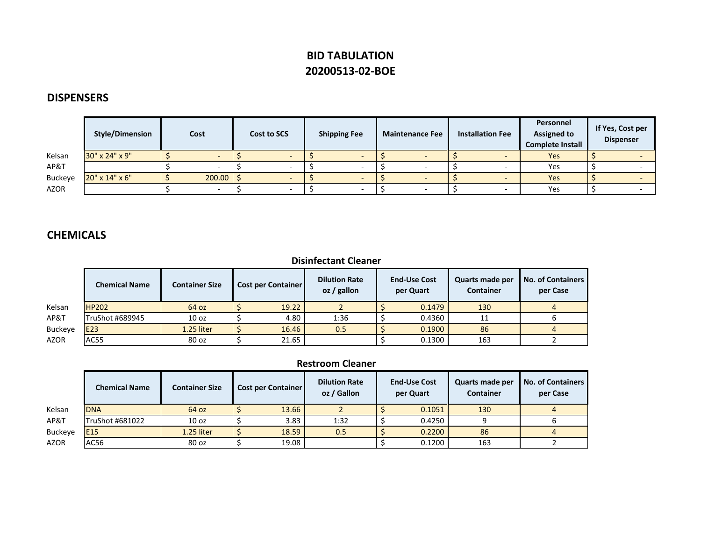## **BID TABULATION 20200513-02-BOE**

#### **DISPENSERS**

|             | <b>Style/Dimension</b>  | Cost                   | <b>Cost to SCS</b> | <b>Shipping Fee</b> |  | <b>Maintenance Fee</b> |  | <b>Installation Fee</b> | Personnel<br><b>Assigned to</b><br><b>Complete Install</b> | If Yes, Cost per<br><b>Dispenser</b> |  |
|-------------|-------------------------|------------------------|--------------------|---------------------|--|------------------------|--|-------------------------|------------------------------------------------------------|--------------------------------------|--|
| Kelsan      | 30" x 24" x 9"          |                        |                    |                     |  |                        |  |                         | Yes                                                        |                                      |  |
| AP&T        |                         |                        |                    |                     |  |                        |  |                         | Yes                                                        |                                      |  |
| Buckeye     | $20''$ x $14''$ x $6''$ | $200.00$ $\frac{1}{2}$ |                    |                     |  |                        |  |                         | Yes                                                        |                                      |  |
| <b>AZOR</b> |                         |                        |                    |                     |  |                        |  |                         | Yes                                                        |                                      |  |

### **CHEMICALS**

**Disinfectant Cleaner**

|                | <b>Chemical Name</b> | <b>Container Size</b> | <b>Cost per Container</b> |       | <b>Dilution Rate</b><br>oz/gallon | <b>End-Use Cost</b><br>per Quart |        | <b>Quarts made per</b><br><b>Container</b> | <b>No. of Containers</b><br>per Case |
|----------------|----------------------|-----------------------|---------------------------|-------|-----------------------------------|----------------------------------|--------|--------------------------------------------|--------------------------------------|
| Kelsan         | <b>HP202</b>         | 64 oz                 |                           | 19.22 |                                   |                                  | 0.1479 | 130                                        |                                      |
| AP&T           | TruShot #689945      | 10 <sub>oz</sub>      |                           | 4.80  | 1:36                              |                                  | 0.4360 | 11                                         |                                      |
| <b>Buckeye</b> | <b>E23</b>           | 1.25 liter            |                           | 16.46 | 0.5                               |                                  | 0.1900 | 86                                         |                                      |
| <b>AZOR</b>    | AC55                 | 80 oz                 |                           | 21.65 |                                   |                                  | 0.1300 | 163                                        |                                      |

#### **Restroom Cleaner**

|                | <b>Chemical Name</b> | <b>Container Size</b> | <b>Cost per Container</b> |       | <b>Dilution Rate</b><br>oz / Gallon | <b>End-Use Cost</b><br>per Quart |        | <b>Quarts made per</b><br><b>Container</b> | <b>No. of Containers</b><br>per Case |  |
|----------------|----------------------|-----------------------|---------------------------|-------|-------------------------------------|----------------------------------|--------|--------------------------------------------|--------------------------------------|--|
| Kelsan         | <b>DNA</b>           | 64 oz                 |                           | 13.66 |                                     |                                  | 0.1051 | 130                                        |                                      |  |
| AP&T           | TruShot #681022      | 10 <sub>oz</sub>      |                           | 3.83  | 1:32                                |                                  | 0.4250 |                                            |                                      |  |
| <b>Buckeye</b> | E <sub>15</sub>      | 1.25 liter            |                           | 18.59 | 0.5                                 |                                  | 0.2200 | 86                                         |                                      |  |
| <b>AZOR</b>    | AC56                 | 80 oz                 |                           | 19.08 |                                     |                                  | 0.1200 | 163                                        |                                      |  |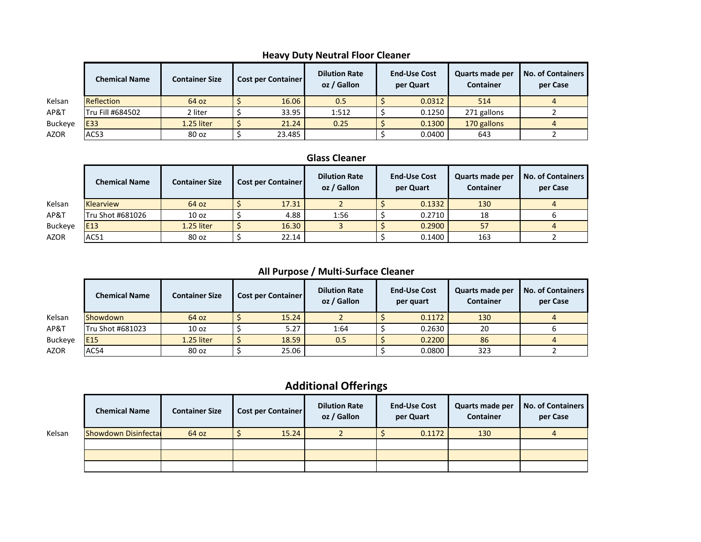|                | <b>Chemical Name</b> | <b>Container Size</b> | <b>Cost per Container</b> |        | <b>Dilution Rate</b><br>oz / Gallon | <b>End-Use Cost</b><br>per Quart |        | <b>Quarts made per</b><br><b>Container</b> | <b>No. of Containers</b><br>per Case |  |
|----------------|----------------------|-----------------------|---------------------------|--------|-------------------------------------|----------------------------------|--------|--------------------------------------------|--------------------------------------|--|
| Kelsan         | <b>Reflection</b>    | 64 oz                 |                           | 16.06  | 0.5                                 |                                  | 0.0312 | 514                                        |                                      |  |
| AP&T           | Tru Fill #684502     | 2 liter               |                           | 33.95  | 1:512                               |                                  | 0.1250 | 271 gallons                                |                                      |  |
| <b>Buckeye</b> | <b>E33</b>           | 1.25 liter            |                           | 21.24  | 0.25                                |                                  | 0.1300 | 170 gallons                                |                                      |  |
| <b>AZOR</b>    | AC53                 | 80 oz                 |                           | 23.485 |                                     |                                  | 0.0400 | 643                                        |                                      |  |

#### **Heavy Duty Neutral Floor Cleaner**

#### **Glass Cleaner**

|             | <b>Chemical Name</b> | <b>Container Size</b> | <b>Cost per Container</b> |       | <b>Dilution Rate</b><br>oz / Gallon | <b>End-Use Cost</b><br>per Quart | <b>Quarts made per</b><br><b>Container</b> | <b>No. of Containers</b><br>per Case |
|-------------|----------------------|-----------------------|---------------------------|-------|-------------------------------------|----------------------------------|--------------------------------------------|--------------------------------------|
| Kelsan      | <b>Klearview</b>     | 64 oz                 |                           | 17.31 |                                     | 0.1332                           | 130                                        |                                      |
| AP&T        | Tru Shot #681026     | 10 <sub>oz</sub>      |                           | 4.88  | 1:56                                | 0.2710                           | 18                                         |                                      |
| Buckeye     | E <sub>13</sub>      | 1.25 liter            |                           | 16.30 |                                     | 0.2900                           | 57                                         |                                      |
| <b>AZOR</b> | AC51                 | 80 oz                 |                           | 22.14 |                                     | 0.1400                           | 163                                        |                                      |

#### **All Purpose / Multi-Surface Cleaner**

|                | <b>Chemical Name</b> | <b>Container Size</b> | <b>Cost per Container</b> |       | <b>Dilution Rate</b><br>oz / Gallon | <b>End-Use Cost</b><br>per quart |        | <b>Quarts made per</b><br><b>Container</b> | <b>No. of Containers</b><br>per Case |
|----------------|----------------------|-----------------------|---------------------------|-------|-------------------------------------|----------------------------------|--------|--------------------------------------------|--------------------------------------|
| Kelsan         | Showdown             | 64 oz                 |                           | 15.24 |                                     |                                  | 0.1172 | 130                                        |                                      |
| AP&T           | Tru Shot #681023     | 10 <sub>oz</sub>      |                           | 5.27  | 1:64                                |                                  | 0.2630 | 20                                         |                                      |
| <b>Buckeye</b> | E <sub>15</sub>      | 1.25 liter            |                           | 18.59 | 0.5                                 |                                  | 0.2200 | 86                                         |                                      |
| <b>AZOR</b>    | AC54                 | 80 oz                 |                           | 25.06 |                                     |                                  | 0.0800 | 323                                        |                                      |

# **Additional Offerings**

|        | <b>Chemical Name</b>        | <b>Container Size</b> | <b>Cost per Container</b> | <b>Dilution Rate</b><br>oz / Gallon | <b>End-Use Cost</b><br>per Quart | <b>Quarts made per</b><br><b>Container</b> | <b>No. of Containers</b><br>per Case |
|--------|-----------------------------|-----------------------|---------------------------|-------------------------------------|----------------------------------|--------------------------------------------|--------------------------------------|
| Kelsan | <b>Showdown Disinfectal</b> | 64 oz                 | 15.24                     |                                     | 0.1172                           | 130                                        |                                      |
|        |                             |                       |                           |                                     |                                  |                                            |                                      |
|        |                             |                       |                           |                                     |                                  |                                            |                                      |
|        |                             |                       |                           |                                     |                                  |                                            |                                      |